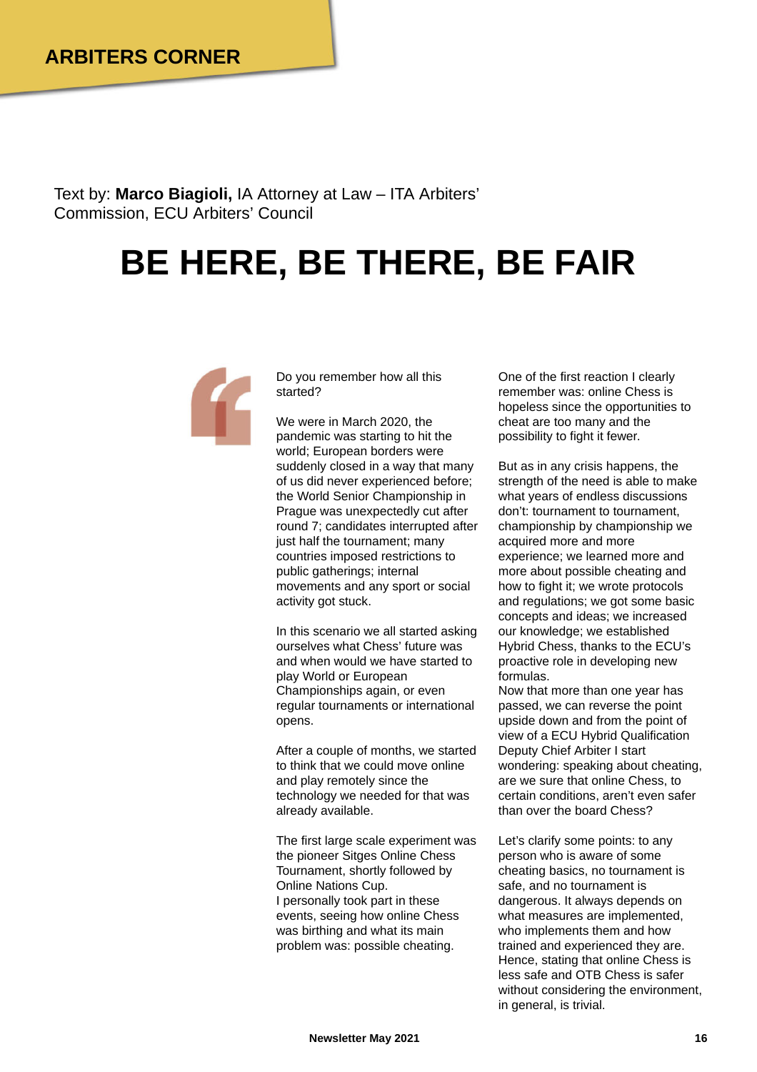Text by: **Marco Biagioli,** IA Attorney at Law – ITA Arbiters' Commission, ECU Arbiters' Council

## **BE HERE, BE THERE, BE FAIR**



Do you remember how all this started?

We were in March 2020, the pandemic was starting to hit the world; European borders were suddenly closed in a way that many of us did never experienced before; the World Senior Championship in Prague was unexpectedly cut after round 7; candidates interrupted after just half the tournament; many countries imposed restrictions to public gatherings; internal movements and any sport or social activity got stuck.

In this scenario we all started asking ourselves what Chess' future was and when would we have started to play World or European Championships again, or even regular tournaments or international opens.

After a couple of months, we started to think that we could move online and play remotely since the technology we needed for that was already available.

The first large scale experiment was the pioneer Sitges Online Chess Tournament, shortly followed by Online Nations Cup. I personally took part in these events, seeing how online Chess was birthing and what its main problem was: possible cheating.

One of the first reaction I clearly remember was: online Chess is hopeless since the opportunities to cheat are too many and the possibility to fight it fewer.

But as in any crisis happens, the strength of the need is able to make what years of endless discussions don't: tournament to tournament, championship by championship we acquired more and more experience; we learned more and more about possible cheating and how to fight it; we wrote protocols and regulations; we got some basic concepts and ideas; we increased our knowledge; we established Hybrid Chess, thanks to the ECU's proactive role in developing new formulas.

Now that more than one year has passed, we can reverse the point upside down and from the point of view of a ECU Hybrid Qualification Deputy Chief Arbiter I start wondering: speaking about cheating, are we sure that online Chess, to certain conditions, aren't even safer than over the board Chess?

Let's clarify some points: to any person who is aware of some cheating basics, no tournament is safe, and no tournament is dangerous. It always depends on what measures are implemented, who implements them and how trained and experienced they are. Hence, stating that online Chess is less safe and OTB Chess is safer without considering the environment, in general, is trivial.